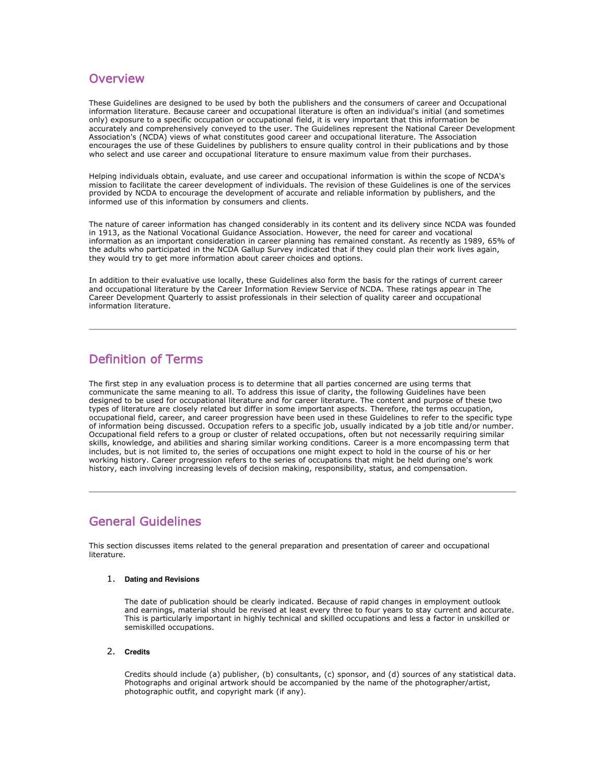# **Overview**

These Guidelines are designed to be used by both the publishers and the consumers of career and Occupational information literature. Because career and occupational literature is often an individual's initial (and sometimes only) exposure to a specific occupation or occupational field, it is very important that this information be accurately and comprehensively conveyed to the user. The Guidelines represent the National Career Development Association's (NCDA) views of what constitutes good career and occupational literature. The Association encourages the use of these Guidelines by publishers to ensure quality control in their publications and by those who select and use career and occupational literature to ensure maximum value from their purchases.

Helping individuals obtain, evaluate, and use career and occupational information is within the scope of NCDA's mission to facilitate the career development of individuals. The revision of these Guidelines is one of the services provided by NCDA to encourage the development of accurate and reliable information by publishers, and the informed use of this information by consumers and clients.

The nature of career information has changed considerably in its content and its delivery since NCDA was founded in 1913, as the National Vocational Guidance Association. However, the need for career and vocational information as an important consideration in career planning has remained constant. As recently as 1989, 65% of the adults who participated in the NCDA Gallup Survey indicated that if they could plan their work lives again, they would try to get more information about career choices and options.

In addition to their evaluative use locally, these Guidelines also form the basis for the ratings of current career and occupational literature by the Career Information Review Service of NCDA. These ratings appear in The Career Development Quarterly to assist professionals in their selection of quality career and occupational information literature.

# Definition
of
Terms

The first step in any evaluation process is to determine that all parties concerned are using terms that communicate the same meaning to all. To address this issue of clarity, the following Guidelines have been designed to be used for occupational literature and for career literature. The content and purpose of these two types of literature are closely related but differ in some important aspects. Therefore, the terms occupation, occupational field, career, and career progression have been used in these Guidelines to refer to the specific type of information being discussed. Occupation refers to a specific job, usually indicated by a job title and/or number. Occupational field refers to a group or cluster of related occupations, often but not necessarily requiring similar skills, knowledge, and abilities and sharing similar working conditions. Career is a more encompassing term that includes, but is not limited to, the series of occupations one might expect to hold in the course of his or her working history. Career progression refers to the series of occupations that might be held during one's work history, each involving increasing levels of decision making, responsibility, status, and compensation.

# General
Guidelines

This section discusses items related to the general preparation and presentation of career and occupational literature.

#### 1. **Dating and Revisions**

The date of publication should be clearly indicated. Because of rapid changes in employment outlook and earnings, material should be revised at least every three to four years to stay current and accurate. This is particularly important in highly technical and skilled occupations and less a factor in unskilled or semiskilled occupations.

2. **Credits**

Credits should include (a) publisher, (b) consultants, (c) sponsor, and (d) sources of any statistical data. Photographs and original artwork should be accompanied by the name of the photographer/artist, photographic outfit, and copyright mark (if any).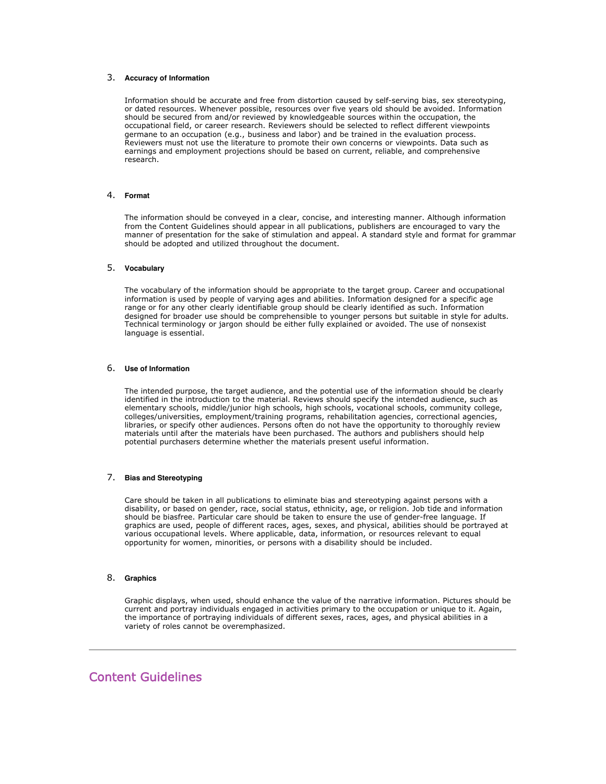#### 3. **Accuracy of Information**

Information should be accurate and free from distortion caused by self-serving bias, sex stereotyping, or dated resources. Whenever possible, resources over five years old should be avoided. Information should be secured from and/or reviewed by knowledgeable sources within the occupation, the occupational field, or career research. Reviewers should be selected to reflect different viewpoints germane to an occupation (e.g., business and labor) and be trained in the evaluation process. Reviewers must not use the literature to promote their own concerns or viewpoints. Data such as earnings and employment projections should be based on current, reliable, and comprehensive research.

## 4. **Format**

The information should be conveyed in a clear, concise, and interesting manner. Although information from the Content Guidelines should appear in all publications, publishers are encouraged to vary the manner of presentation for the sake of stimulation and appeal. A standard style and format for grammar should be adopted and utilized throughout the document.

# 5. **Vocabulary**

The vocabulary of the information should be appropriate to the target group. Career and occupational information is used by people of varying ages and abilities. Information designed for a specific age range or for any other clearly identifiable group should be clearly identified as such. Information designed for broader use should be comprehensible to younger persons but suitable in style for adults. Technical terminology or jargon should be either fully explained or avoided. The use of nonsexist language is essential.

#### 6. **Use of Information**

The intended purpose, the target audience, and the potential use of the information should be clearly identified in the introduction to the material. Reviews should specify the intended audience, such as elementary schools, middle/junior high schools, high schools, vocational schools, community college, colleges/universities, employment/training programs, rehabilitation agencies, correctional agencies, libraries, or specify other audiences. Persons often do not have the opportunity to thoroughly review materials until after the materials have been purchased. The authors and publishers should help potential purchasers determine whether the materials present useful information.

## 7. **Bias and Stereotyping**

Care should be taken in all publications to eliminate bias and stereotyping against persons with a disability, or based on gender, race, social status, ethnicity, age, or religion. Job tide and information should be biasfree. Particular care should be taken to ensure the use of gender-free language. If graphics are used, people of different races, ages, sexes, and physical, abilities should be portrayed at various occupational levels. Where applicable, data, information, or resources relevant to equal opportunity for women, minorities, or persons with a disability should be included.

#### 8. **Graphics**

Graphic displays, when used, should enhance the value of the narrative information. Pictures should be current and portray individuals engaged in activities primary to the occupation or unique to it. Again, the importance of portraying individuals of different sexes, races, ages, and physical abilities in a variety of roles cannot be overemphasized.

# Content
Guidelines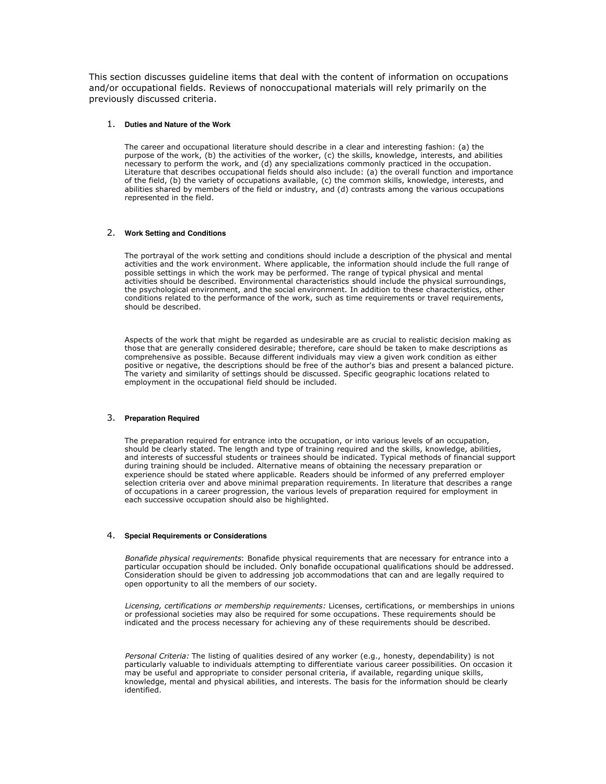This section discusses guideline items that deal with the content of information on occupations and/or occupational fields. Reviews of nonoccupational materials will rely primarily on the previously discussed criteria.

## 1. **Duties and Nature of the Work**

The career and occupational literature should describe in a clear and interesting fashion: (a) the purpose of the work, (b) the activities of the worker, (c) the skills, knowledge, interests, and abilities necessary to perform the work, and (d) any specializations commonly practiced in the occupation. Literature that describes occupational fields should also include: (a) the overall function and importance of the field, (b) the variety of occupations available, (c) the common skills, knowledge, interests, and abilities shared by members of the field or industry, and (d) contrasts among the various occupations represented in the field.

### 2. **Work Setting and Conditions**

The portrayal of the work setting and conditions should include a description of the physical and mental activities and the work environment. Where applicable, the information should include the full range of possible settings in which the work may be performed. The range of typical physical and mental activities should be described. Environmental characteristics should include the physical surroundings, the psychological environment, and the social environment. In addition to these characteristics, other conditions related to the performance of the work, such as time requirements or travel requirements, should be described.

Aspects of the work that might be regarded as undesirable are as crucial to realistic decision making as those that are generally considered desirable; therefore, care should be taken to make descriptions as comprehensive as possible. Because different individuals may view a given work condition as either positive or negative, the descriptions should be free of the author's bias and present a balanced picture. The variety and similarity of settings should be discussed. Specific geographic locations related to employment in the occupational field should be included.

### 3. **Preparation Required**

The preparation required for entrance into the occupation, or into various levels of an occupation, should be clearly stated. The length and type of training required and the skills, knowledge, abilities, and interests of successful students or trainees should be indicated. Typical methods of financial support during training should be included. Alternative means of obtaining the necessary preparation or experience should be stated where applicable. Readers should be informed of any preferred employer selection criteria over and above minimal preparation requirements. In literature that describes a range of occupations in a career progression, the various levels of preparation required for employment in each successive occupation should also be highlighted.

#### 4. **Special Requirements or Considerations**

Bonafide physical requirements: Bonafide physical requirements that are necessary for entrance into a particular occupation should be included. Only bonafide occupational qualifications should be addressed. Consideration should be given to addressing job accommodations that can and are legally required to open opportunity to all the members of our society.

Licensing, certifications or membership requirements: Licenses, certifications, or memberships in unions or professional societies may also be required for some occupations. These requirements should be indicated and the process necessary for achieving any of these requirements should be described.

Personal Criteria: The listing of qualities desired of any worker (e.g., honesty, dependability) is not particularly valuable to individuals attempting to differentiate various career possibilities. On occasion it may be useful and appropriate to consider personal criteria, if available, regarding unique skills, knowledge, mental and physical abilities, and interests. The basis for the information should be clearly identified.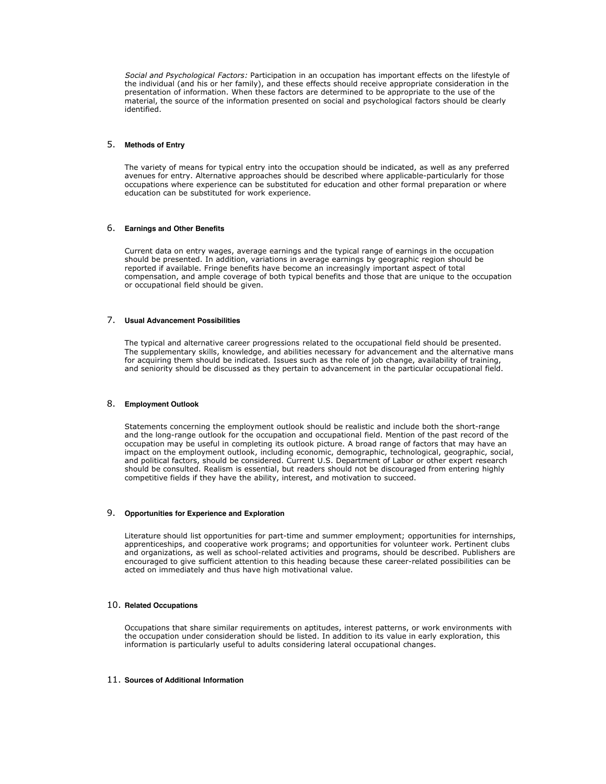Social and Psychological Factors: Participation in an occupation has important effects on the lifestyle of the individual (and his or her family), and these effects should receive appropriate consideration in the presentation of information. When these factors are determined to be appropriate to the use of the material, the source of the information presented on social and psychological factors should be clearly identified.

# 5. **Methods of Entry**

The variety of means for typical entry into the occupation should be indicated, as well as any preferred avenues for entry. Alternative approaches should be described where applicable-particularly for those occupations where experience can be substituted for education and other formal preparation or where education can be substituted for work experience.

# 6. **Earnings and Other Benefits**

Current data on entry wages, average earnings and the typical range of earnings in the occupation should be presented. In addition, variations in average earnings by geographic region should be reported if available. Fringe benefits have become an increasingly important aspect of total compensation, and ample coverage of both typical benefits and those that are unique to the occupation or occupational field should be given.

### 7. **Usual Advancement Possibilities**

The typical and alternative career progressions related to the occupational field should be presented. The supplementary skills, knowledge, and abilities necessary for advancement and the alternative mans for acquiring them should be indicated. Issues such as the role of job change, availability of training, and seniority should be discussed as they pertain to advancement in the particular occupational field.

#### 8. **Employment Outlook**

Statements concerning the employment outlook should be realistic and include both the short-range and the long-range outlook for the occupation and occupational field. Mention of the past record of the occupation may be useful in completing its outlook picture. A broad range of factors that may have an impact on the employment outlook, including economic, demographic, technological, geographic, social, and political factors, should be considered. Current U.S. Department of Labor or other expert research should be consulted. Realism is essential, but readers should not be discouraged from entering highly competitive fields if they have the ability, interest, and motivation to succeed.

# 9. **Opportunities for Experience and Exploration**

Literature should list opportunities for part-time and summer employment; opportunities for internships, apprenticeships, and cooperative work programs; and opportunities for volunteer work. Pertinent clubs and organizations, as well as school-related activities and programs, should be described. Publishers are encouraged to give sufficient attention to this heading because these career-related possibilities can be acted on immediately and thus have high motivational value.

#### 10. **Related Occupations**

Occupations that share similar requirements on aptitudes, interest patterns, or work environments with the occupation under consideration should be listed. In addition to its value in early exploration, this information is particularly useful to adults considering lateral occupational changes.

## 11. **Sources of Additional Information**